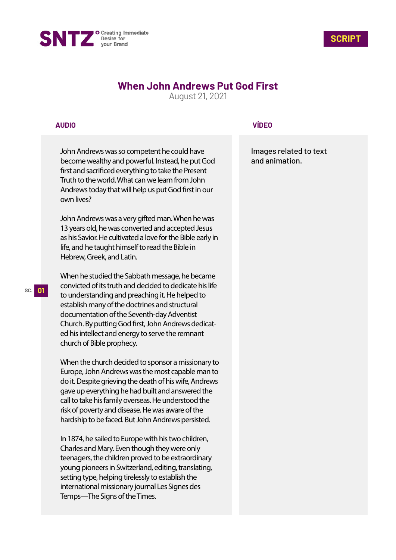



# **When John Andrews Put God First**

August 21, 2021

## **AUDIO**

John Andrews was so competent he could have become wealthy and powerful. Instead, he put God first and sacrificed everything to take the Present Truth to the world. What can we learn from John Andrews today that will help us put God first in our own lives?

John Andrews was a very gifted man. When he was 13 years old, he was converted and accepted Jesus as his Savior. He cultivated a love for the Bible early in life, and he taught himself to read the Bible in Hebrew, Greek, and Latin.

When he studied the Sabbath message, he became convicted of its truth and decided to dedicate his life to understanding and preaching it. He helped to establish many of the doctrines and structural documentation of the Seventh-day Adventist Church. By putting God first, John Andrews dedicated his intellect and energy to serve the remnant church of Bible prophecy.

When the church decided to sponsor a missionary to Europe, John Andrews was the most capable man to do it. Despite grieving the death of his wife, Andrews gave up everything he had built and answered the call to take his family overseas. He understood the risk of poverty and disease. He was aware of the hardship to be faced. But John Andrews persisted.

In 1874, he sailed to Europe with his two children, Charles and Mary. Even though they were only teenagers, the children proved to be extraordinary young pioneers in Switzerland, editing, translating, setting type, helping tirelessly to establish the international missionary journal Les Signes des Temps—The Signs of the Times.

# **VÍDEO**

Images related to text and animation.